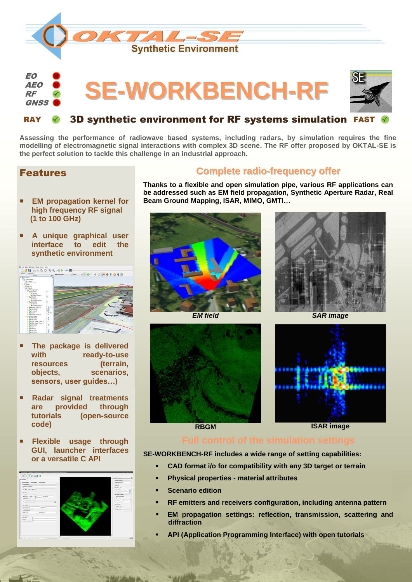

### 3D synthetic environment for RF systems simulation **RAY**

**Assessing the performance of radiowave based systems, including radars, by simulation requires the fine modelling of electromagnetic signal interactions with complex 3D scene. The RF offer proposed by OKTAL-SE is the perfect solution to tackle this challenge in an industrial approach.**

### Features

**RF GNSS** 

- **EM propagation kernel for high frequency RF signal (1 to 100 GHz)**
- **A unique graphical user interface to edit the synthetic environment**



- **The package is delivered with ready-to-use resources (terrain, objects, scenarios, sensors, user guides…)**
- **Radar signal treatments are provided through tutorials (open-source code)**
- **Flexible usage through GUI, launcher interfaces or a versatile C API**



### **Complete radio-frequency offer**

**Thanks to a flexible and open simulation pipe, various RF applications can be addressed such as EM field propagation, Synthetic Aperture Radar, Real Beam Ground Mapping, ISAR, MIMO, GMTI…**











**RBGM ISAR image**

**SE-WORKBENCH-RF includes a wide range of setting capabilities:**

- **CAD format i/o for compatibility with any 3D target or terrain**
- **Physical properties - material attributes**
- **Scenario edition**
- **RF emitters and receivers configuration, including antenna pattern**
- **EM propagation settings: reflection, transmission, scattering and diffraction**
- **API (Application Programming Interface) with open tutorials**